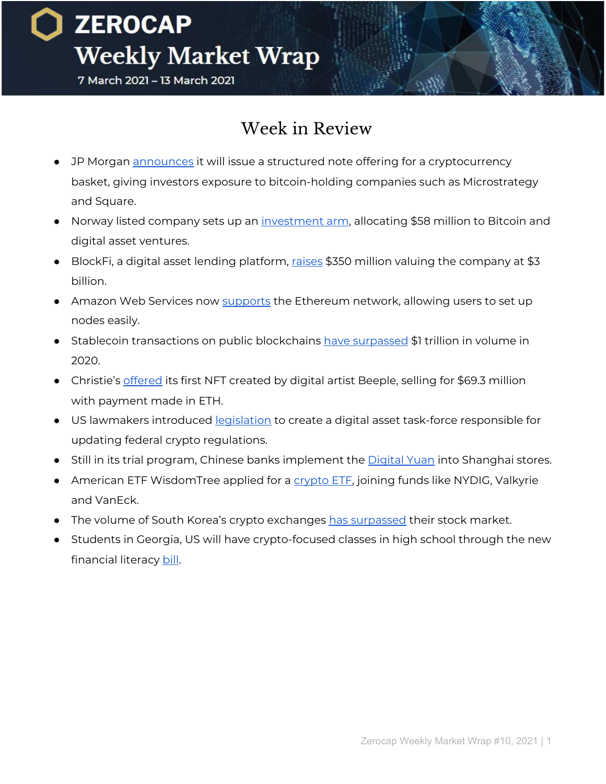### **ZEROCAP Weekly Market Wrap** 7 March 2021 - 13 March 2021

### Week in Review

- JP Morgan [announces](https://www.coindesk.com/jpmorgan-to-launch-cryptocurrency-exposure-basket-of-bitcoin-proxy-stocks) it will issue a structured note offering for a cryptocurrency basket, giving investors exposure to bitcoin-holding companies such as Microstrategy and Square.
- Norway listed company sets up an [investment](https://www.coindesk.com/norway-listed-aker-to-put-100-bitcoin-in-treasury-reserves-of-new-investment-unit) arm, allocating \$58 million to Bitcoin and digital asset ventures.
- BlockFi, a digital asset lending platform, [raises](https://www.coindesk.com/crypto-lender-blockfi-raises-350m-at-a-3b-valuation) \$350 million valuing the company at \$3 billion.
- Amazon Web Services now [supports](https://www.forbes.com/sites/ninabambysheva/2021/03/03/why-amazons-ethereum-support-funnels-through-north-virginia/?sh=11054f62a37b) the Ethereum network, allowing users to set up nodes easily.
- Stablecoin transactions on public blockchains have [surpassed](https://www.tbstat.com/wp/uploads/2021/03/20210310_Stablecoin_Report_v1.0.pdf) \$1 trillion in volume in 2020.
- Christie's [offered](https://onlineonly.christies.com/s/beeple-first-5000-days/beeple-b-1981-1/112924) its first NFT created by digital artist Beeple, selling for \$69.3 million with payment made in ETH.
- US lawmakers introduced [legislation](https://www.congress.gov/bill/117th-congress/house-bill/1602?q=%7B%22search%22%3A%5B%22mchenry+AND+%5C%22digital+asset%5C%22%22%5D%7D&s=1&r=2) to create a digital asset task-force responsible for updating federal crypto regulations.
- Still in its trial program, Chinese banks implement the *[Digital](https://www.shine.cn/biz/economy/2103085621/) Yuan* into Shanghai stores.
- American ETF WisdomTree applied for a [crypto](https://www.coindesk.com/wisdomtree-files-for-a-bitcoin-etf) ETF, joining funds like NYDIG, Valkyrie and VanEck.
- The volume of South Korea's crypto exchanges has [surpassed](https://cointelegraph.com/news/reported-volume-of-top-south-korean-crypto-exchanges-surpasses-that-of-the-country-s-stock-market) their stock market.
- Students in Georgia, US will have crypto-focused classes in high school through the new financial literacy [bill.](https://legiscan.com/GA/text/HB681/2021)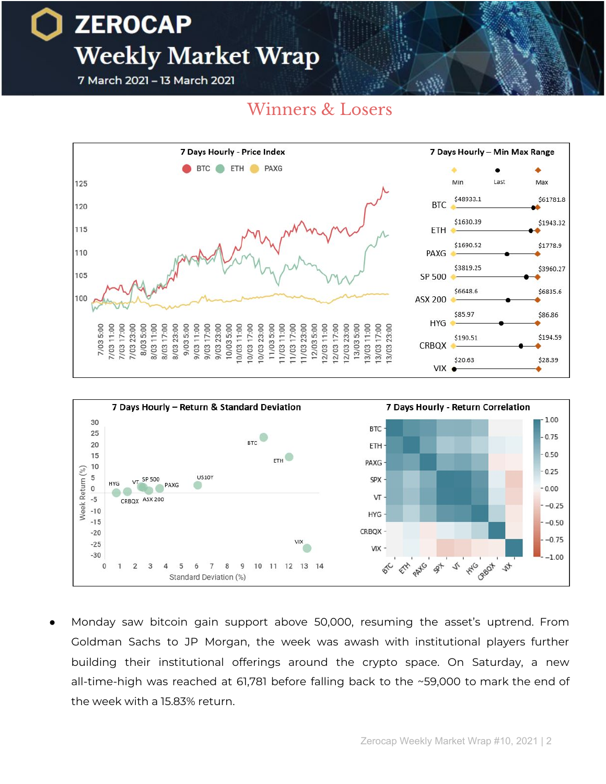### **ZEROCAP Weekly Market Wrap** 7 March 2021 - 13 March 2021

Winners & Losers





Monday saw bitcoin gain support above 50,000, resuming the asset's uptrend. From Goldman Sachs to JP Morgan, the week was awash with institutional players further building their institutional offerings around the crypto space. On Saturday, a new all-time-high was reached at 61,781 before falling back to the ~59,000 to mark the end of the week with a 15.83% return.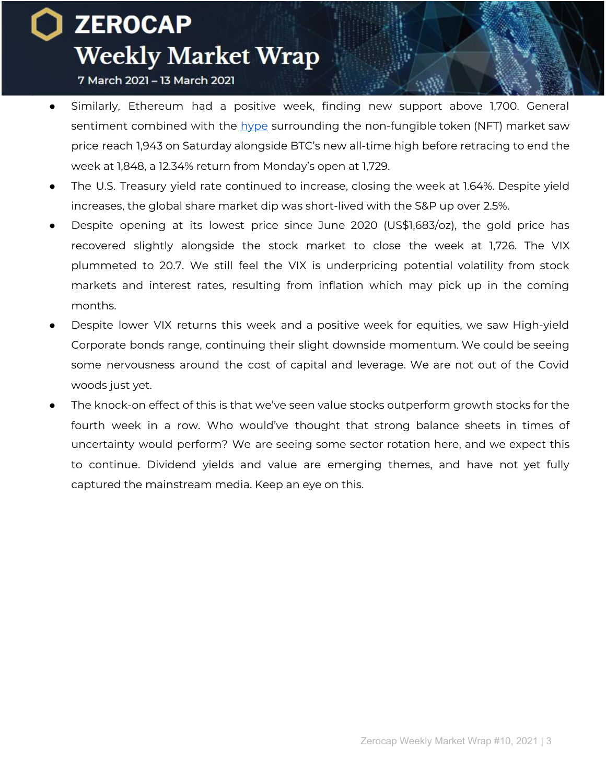7 March 2021 - 13 March 2021

- Similarly, Ethereum had a positive week, finding new support above 1,700. General sentiment combined with the [hype](https://www.abc.net.au/news/2021-03-12/nft-digital-artwork-sells-for-nearly-us-70-million-beeple/13241076) surrounding the non-fungible token (NFT) market saw price reach 1,943 on Saturday alongside BTC's new all-time high before retracing to end the week at 1,848, a 12.34% return from Monday's open at 1,729.
- The U.S. Treasury yield rate continued to increase, closing the week at 1.64%. Despite yield increases, the global share market dip was short-lived with the S&P up over 2.5%.
- Despite opening at its lowest price since June 2020 (US\$1,683/oz), the gold price has recovered slightly alongside the stock market to close the week at 1,726. The VIX plummeted to 20.7. We still feel the VIX is underpricing potential volatility from stock markets and interest rates, resulting from inflation which may pick up in the coming months.
- Despite lower VIX returns this week and a positive week for equities, we saw High-yield Corporate bonds range, continuing their slight downside momentum. We could be seeing some nervousness around the cost of capital and leverage. We are not out of the Covid woods just yet.
- The knock-on effect of this is that we've seen value stocks outperform growth stocks for the fourth week in a row. Who would've thought that strong balance sheets in times of uncertainty would perform? We are seeing some sector rotation here, and we expect this to continue. Dividend yields and value are emerging themes, and have not yet fully captured the mainstream media. Keep an eye on this.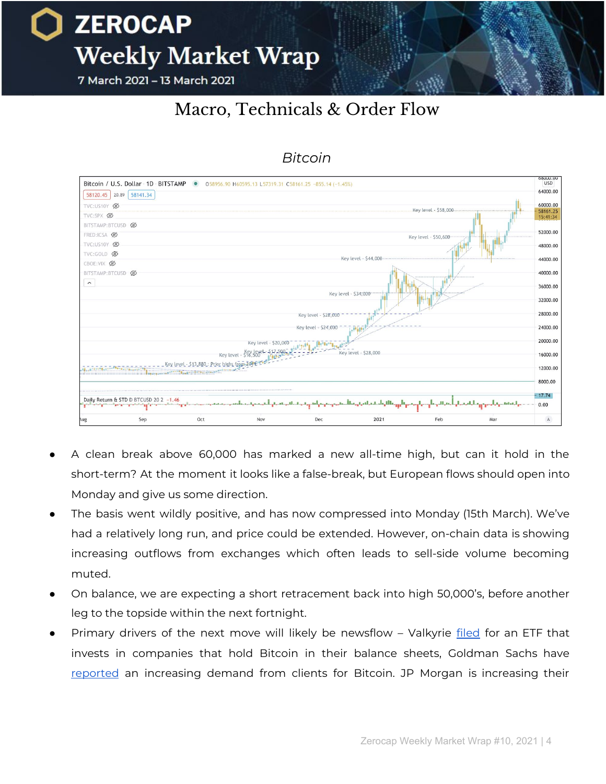7 March 2021 - 13 March 2021

### Macro, Technicals & Order Flow



#### *Bitcoin*

- A clean break above 60,000 has marked a new all-time high, but can it hold in the short-term? At the moment it looks like a false-break, but European flows should open into Monday and give us some direction.
- The basis went wildly positive, and has now compressed into Monday (15th March). We've had a relatively long run, and price could be extended. However, on-chain data is showing increasing outflows from exchanges which often leads to sell-side volume becoming muted.
- On balance, we are expecting a short retracement back into high 50,000's, before another leg to the topside within the next fortnight.
- Primary drivers of the next move will likely be newsflow Valkyrie [filed](https://www.coindesk.com/valkyrie-files-for-an-etf-that-would-invest-in-firms-with-bitcoin-on-their-balance-sheets) for an ETF that invests in companies that hold Bitcoin in their balance sheets, Goldman Sachs have [reported](https://www.reuters.com/article/us-goldman-sachs-conference-waldron/goldman-sachs-customers-demand-for-bitcoin-rising-coo-idUSKBN2B22E2?il=0) an increasing demand from clients for Bitcoin. JP Morgan is increasing their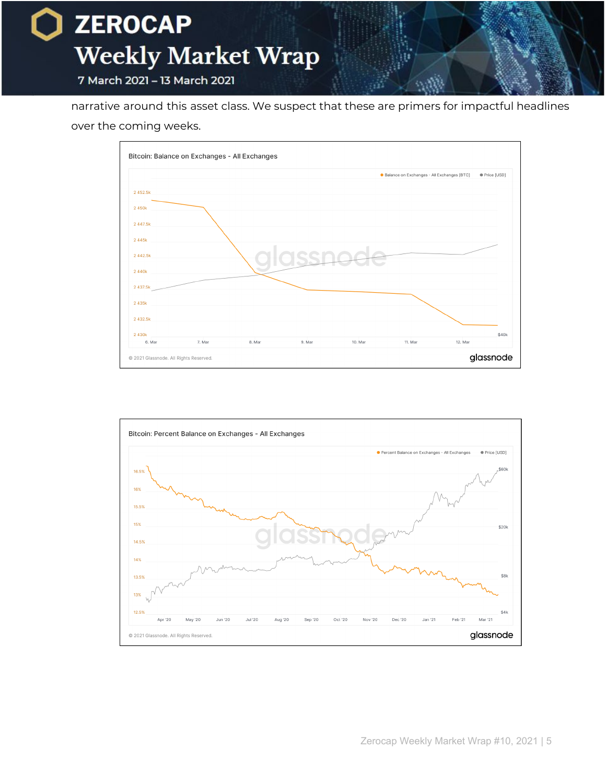

narrative around this asset class. We suspect that these are primers for impactful headlines over the coming weeks.



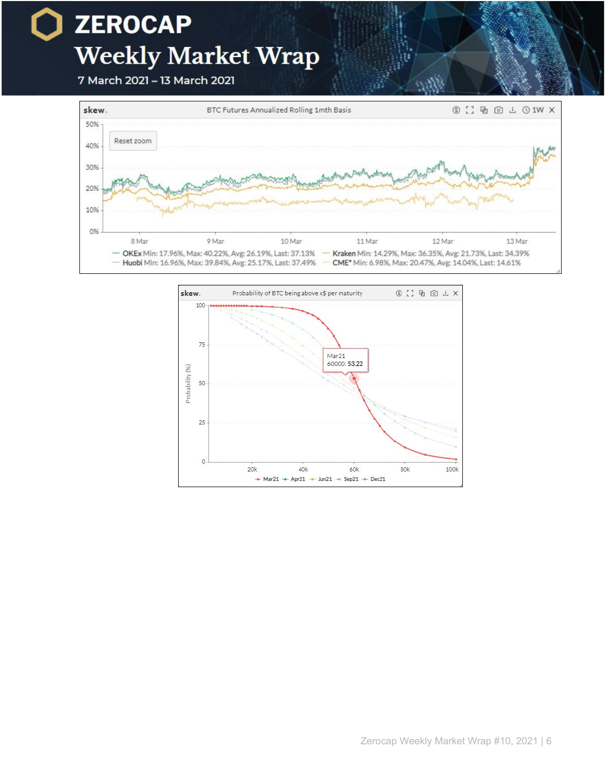### **ZEROCAP**  $\blacksquare$ **Weekly Market Wrap**

7 March 2021 - 13 March 2021



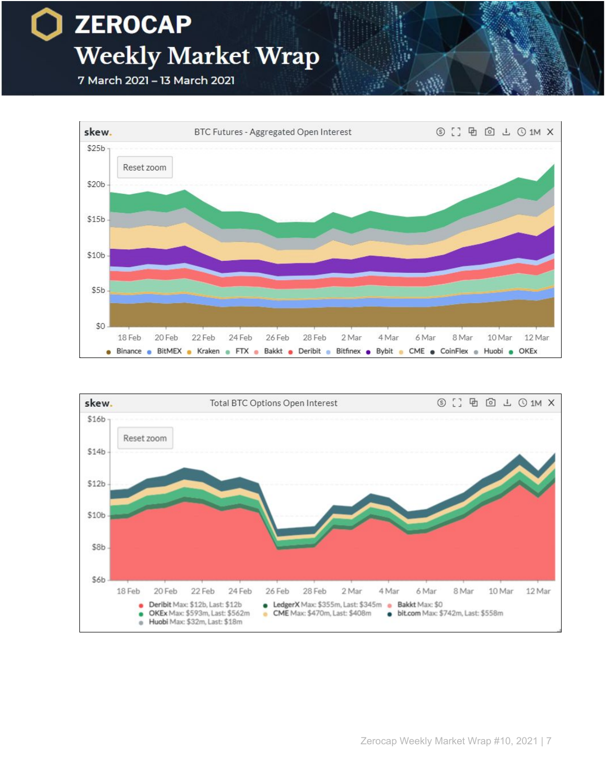



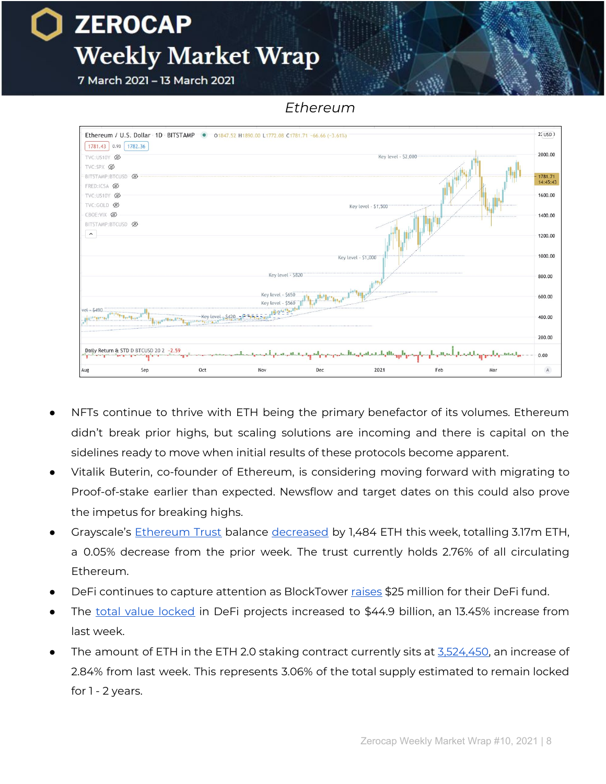7 March 2021 - 13 March 2021

*Ethereum*



- NFTs continue to thrive with ETH being the primary benefactor of its volumes. Ethereum didn't break prior highs, but scaling solutions are incoming and there is capital on the sidelines ready to move when initial results of these protocols become apparent.
- Vitalik Buterin, co-founder of Ethereum, is considering moving forward with migrating to Proof-of-stake earlier than expected. Newsflow and target dates on this could also prove the impetus for breaking highs.
- Grayscale's [Ethereum](https://grayscale.co/ethereum-trust/) Trust balance [decreased](https://www.bybt.com/Grayscale) by 1,484 ETH this week, totalling 3.17m ETH, a 0.05% decrease from the prior week. The trust currently holds 2.76% of all circulating Ethereum.
- DeFi continues to capture attention as BlockTower [raises](https://www.axios.com/blocktower-capital-fund-decentralized-finance-adbd3378-ee7e-4d98-b571-2c2e95f433a9.html) \$25 million for their DeFi fund.
- The total value [locked](https://defipulse.com/) in DeFi projects increased to \$44.9 billion, an 13.45% increase from last week.
- The amount of ETH in the ETH 2.0 staking contract currently sits at [3,524,450,](https://blockchair.com/ethereum/2.0/phase-0) an increase of 2.84% from last week. This represents 3.06% of the total supply estimated to remain locked for 1 - 2 years.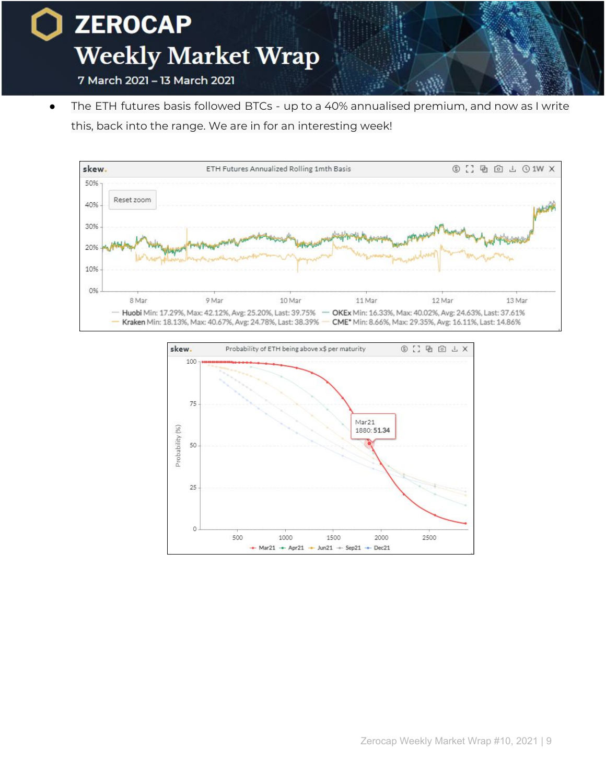

● The ETH futures basis followed BTCs - up to a 40% annualised premium, and now as I write this, back into the range. We are in for an interesting week!



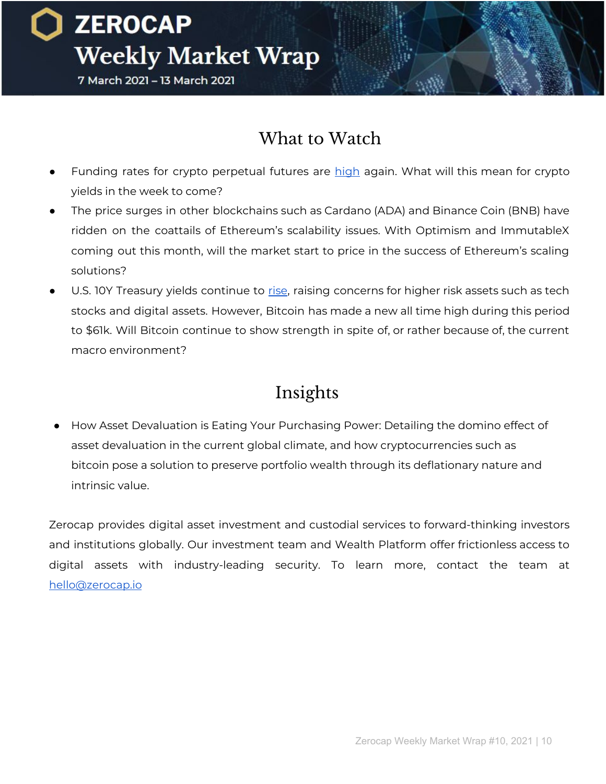**ZEROCAP Weekly Market Wrap** 7 March 2021 - 13 March 2021

What to Watch

- Funding rates for crypto perpetual futures are [high](https://www.bybt.com/FundingRate) again. What will this mean for crypto yields in the week to come?
- The price surges in other blockchains such as Cardano (ADA) and Binance Coin (BNB) have ridden on the coattails of Ethereum's scalability issues. With Optimism and ImmutableX coming out this month, will the market start to price in the success of Ethereum's scaling solutions?
- U.S. 10Y Treasury yields continue to [rise](https://www.cnbc.com/quotes/US10Y), raising concerns for higher risk assets such as tech stocks and digital assets. However, Bitcoin has made a new all time high during this period to \$61k. Will Bitcoin continue to show strength in spite of, or rather because of, the current macro environment?

### Insights

How Asset Devaluation is Eating Your Purchasing Power: Detailing the domino effect of asset devaluation in the current global climate, and how cryptocurrencies such as bitcoin pose a solution to preserve portfolio wealth through its deflationary nature and intrinsic value.

Zerocap provides digital asset investment and custodial services to forward-thinking investors and institutions globally. Our investment team and Wealth Platform offer frictionless access to digital assets with industry-leading security. To learn more, contact the team at [hello@zerocap.io](mailto:hello@zerocap.io)